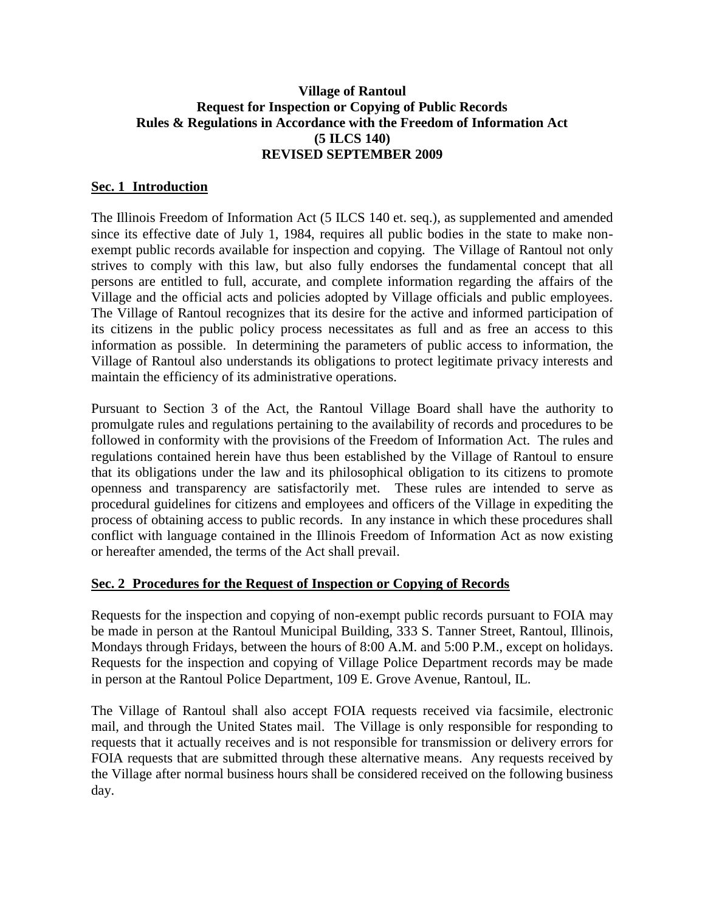## **Village of Rantoul Request for Inspection or Copying of Public Records Rules & Regulations in Accordance with the Freedom of Information Act (5 ILCS 140) REVISED SEPTEMBER 2009**

## **Sec. 1 Introduction**

The Illinois Freedom of Information Act (5 ILCS 140 et. seq.), as supplemented and amended since its effective date of July 1, 1984, requires all public bodies in the state to make nonexempt public records available for inspection and copying. The Village of Rantoul not only strives to comply with this law, but also fully endorses the fundamental concept that all persons are entitled to full, accurate, and complete information regarding the affairs of the Village and the official acts and policies adopted by Village officials and public employees. The Village of Rantoul recognizes that its desire for the active and informed participation of its citizens in the public policy process necessitates as full and as free an access to this information as possible. In determining the parameters of public access to information, the Village of Rantoul also understands its obligations to protect legitimate privacy interests and maintain the efficiency of its administrative operations.

Pursuant to Section 3 of the Act, the Rantoul Village Board shall have the authority to promulgate rules and regulations pertaining to the availability of records and procedures to be followed in conformity with the provisions of the Freedom of Information Act. The rules and regulations contained herein have thus been established by the Village of Rantoul to ensure that its obligations under the law and its philosophical obligation to its citizens to promote openness and transparency are satisfactorily met. These rules are intended to serve as procedural guidelines for citizens and employees and officers of the Village in expediting the process of obtaining access to public records. In any instance in which these procedures shall conflict with language contained in the Illinois Freedom of Information Act as now existing or hereafter amended, the terms of the Act shall prevail.

#### **Sec. 2 Procedures for the Request of Inspection or Copying of Records**

Requests for the inspection and copying of non-exempt public records pursuant to FOIA may be made in person at the Rantoul Municipal Building, 333 S. Tanner Street, Rantoul, Illinois, Mondays through Fridays, between the hours of 8:00 A.M. and 5:00 P.M., except on holidays. Requests for the inspection and copying of Village Police Department records may be made in person at the Rantoul Police Department, 109 E. Grove Avenue, Rantoul, IL.

The Village of Rantoul shall also accept FOIA requests received via facsimile, electronic mail, and through the United States mail. The Village is only responsible for responding to requests that it actually receives and is not responsible for transmission or delivery errors for FOIA requests that are submitted through these alternative means. Any requests received by the Village after normal business hours shall be considered received on the following business day.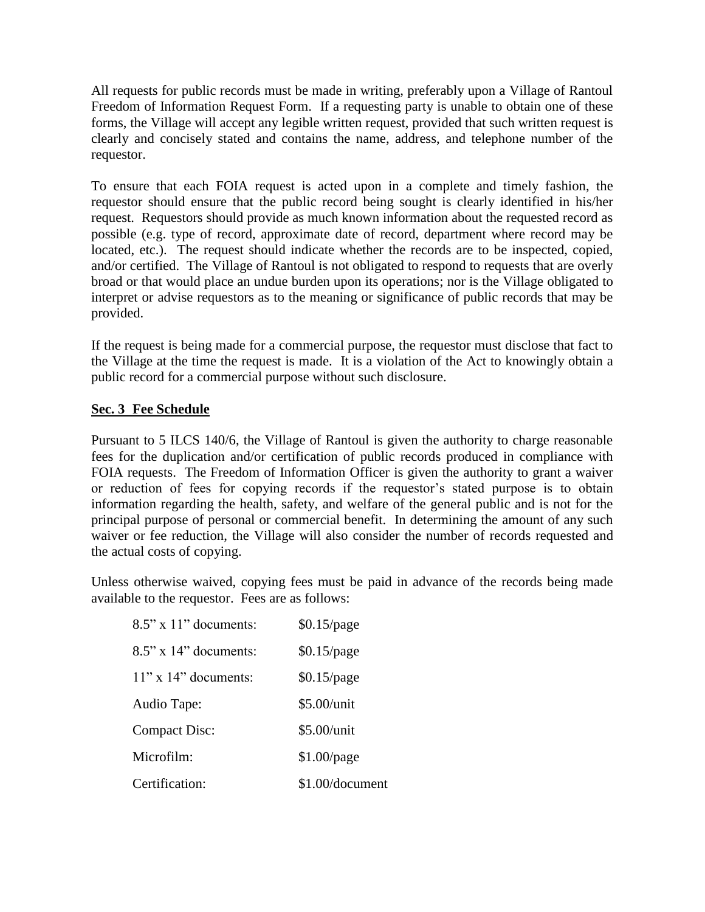All requests for public records must be made in writing, preferably upon a Village of Rantoul Freedom of Information Request Form. If a requesting party is unable to obtain one of these forms, the Village will accept any legible written request, provided that such written request is clearly and concisely stated and contains the name, address, and telephone number of the requestor.

To ensure that each FOIA request is acted upon in a complete and timely fashion, the requestor should ensure that the public record being sought is clearly identified in his/her request. Requestors should provide as much known information about the requested record as possible (e.g. type of record, approximate date of record, department where record may be located, etc.). The request should indicate whether the records are to be inspected, copied, and/or certified. The Village of Rantoul is not obligated to respond to requests that are overly broad or that would place an undue burden upon its operations; nor is the Village obligated to interpret or advise requestors as to the meaning or significance of public records that may be provided.

If the request is being made for a commercial purpose, the requestor must disclose that fact to the Village at the time the request is made. It is a violation of the Act to knowingly obtain a public record for a commercial purpose without such disclosure.

### **Sec. 3 Fee Schedule**

Pursuant to 5 ILCS 140/6, the Village of Rantoul is given the authority to charge reasonable fees for the duplication and/or certification of public records produced in compliance with FOIA requests. The Freedom of Information Officer is given the authority to grant a waiver or reduction of fees for copying records if the requestor's stated purpose is to obtain information regarding the health, safety, and welfare of the general public and is not for the principal purpose of personal or commercial benefit. In determining the amount of any such waiver or fee reduction, the Village will also consider the number of records requested and the actual costs of copying.

Unless otherwise waived, copying fees must be paid in advance of the records being made available to the requestor. Fees are as follows:

| $8.5$ " x 11" documents: | $$0.15$ /page   |
|--------------------------|-----------------|
| $8.5$ " x 14" documents: | $$0.15$ /page   |
| $11"$ x $14"$ documents: | $$0.15$ /page   |
| Audio Tape:              | \$5.00/unit     |
| <b>Compact Disc:</b>     | \$5.00/unit     |
| Microfilm:               | $$1.00$ /page   |
| Certification:           | \$1.00/document |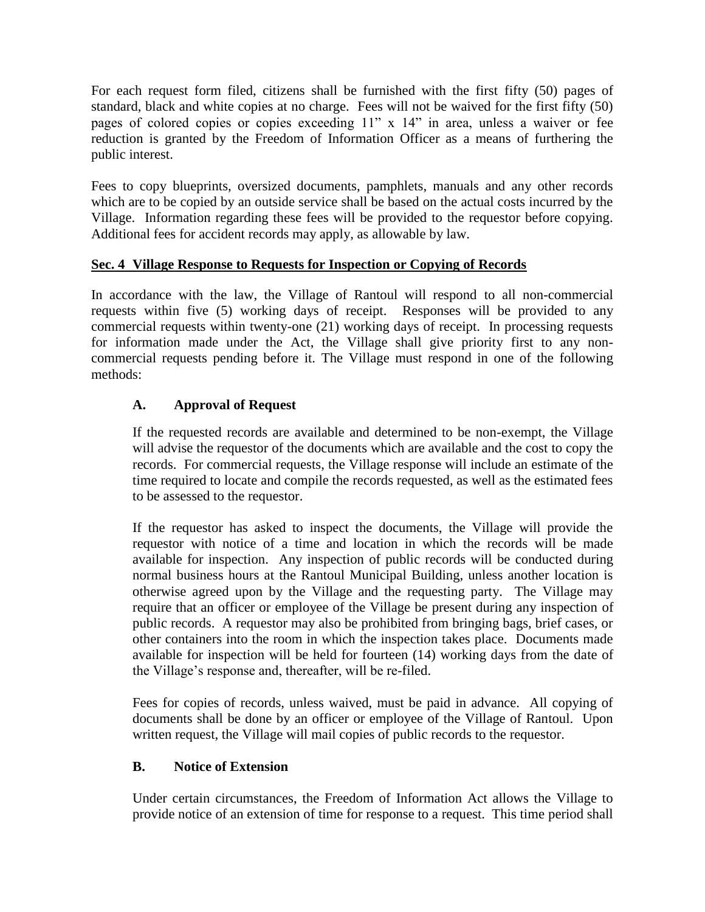For each request form filed, citizens shall be furnished with the first fifty (50) pages of standard, black and white copies at no charge. Fees will not be waived for the first fifty (50) pages of colored copies or copies exceeding 11" x 14" in area, unless a waiver or fee reduction is granted by the Freedom of Information Officer as a means of furthering the public interest.

Fees to copy blueprints, oversized documents, pamphlets, manuals and any other records which are to be copied by an outside service shall be based on the actual costs incurred by the Village. Information regarding these fees will be provided to the requestor before copying. Additional fees for accident records may apply, as allowable by law.

## **Sec. 4 Village Response to Requests for Inspection or Copying of Records**

In accordance with the law, the Village of Rantoul will respond to all non-commercial requests within five (5) working days of receipt. Responses will be provided to any commercial requests within twenty-one (21) working days of receipt. In processing requests for information made under the Act, the Village shall give priority first to any noncommercial requests pending before it. The Village must respond in one of the following methods:

# **A. Approval of Request**

If the requested records are available and determined to be non-exempt, the Village will advise the requestor of the documents which are available and the cost to copy the records. For commercial requests, the Village response will include an estimate of the time required to locate and compile the records requested, as well as the estimated fees to be assessed to the requestor.

If the requestor has asked to inspect the documents, the Village will provide the requestor with notice of a time and location in which the records will be made available for inspection. Any inspection of public records will be conducted during normal business hours at the Rantoul Municipal Building, unless another location is otherwise agreed upon by the Village and the requesting party. The Village may require that an officer or employee of the Village be present during any inspection of public records. A requestor may also be prohibited from bringing bags, brief cases, or other containers into the room in which the inspection takes place. Documents made available for inspection will be held for fourteen (14) working days from the date of the Village's response and, thereafter, will be re-filed.

Fees for copies of records, unless waived, must be paid in advance. All copying of documents shall be done by an officer or employee of the Village of Rantoul. Upon written request, the Village will mail copies of public records to the requestor.

## **B. Notice of Extension**

Under certain circumstances, the Freedom of Information Act allows the Village to provide notice of an extension of time for response to a request. This time period shall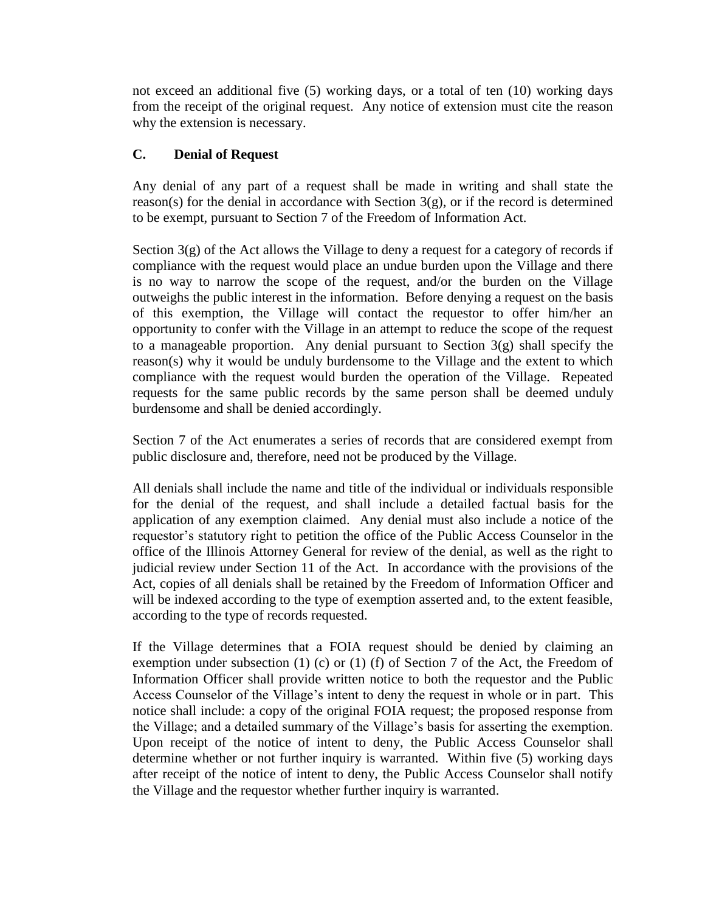not exceed an additional five (5) working days, or a total of ten (10) working days from the receipt of the original request. Any notice of extension must cite the reason why the extension is necessary.

# **C. Denial of Request**

Any denial of any part of a request shall be made in writing and shall state the reason(s) for the denial in accordance with Section  $3(g)$ , or if the record is determined to be exempt, pursuant to Section 7 of the Freedom of Information Act.

Section  $3(g)$  of the Act allows the Village to deny a request for a category of records if compliance with the request would place an undue burden upon the Village and there is no way to narrow the scope of the request, and/or the burden on the Village outweighs the public interest in the information. Before denying a request on the basis of this exemption, the Village will contact the requestor to offer him/her an opportunity to confer with the Village in an attempt to reduce the scope of the request to a manageable proportion. Any denial pursuant to Section 3(g) shall specify the reason(s) why it would be unduly burdensome to the Village and the extent to which compliance with the request would burden the operation of the Village. Repeated requests for the same public records by the same person shall be deemed unduly burdensome and shall be denied accordingly.

Section 7 of the Act enumerates a series of records that are considered exempt from public disclosure and, therefore, need not be produced by the Village.

All denials shall include the name and title of the individual or individuals responsible for the denial of the request, and shall include a detailed factual basis for the application of any exemption claimed. Any denial must also include a notice of the requestor's statutory right to petition the office of the Public Access Counselor in the office of the Illinois Attorney General for review of the denial, as well as the right to judicial review under Section 11 of the Act. In accordance with the provisions of the Act, copies of all denials shall be retained by the Freedom of Information Officer and will be indexed according to the type of exemption asserted and, to the extent feasible, according to the type of records requested.

If the Village determines that a FOIA request should be denied by claiming an exemption under subsection (1) (c) or (1) (f) of Section 7 of the Act, the Freedom of Information Officer shall provide written notice to both the requestor and the Public Access Counselor of the Village's intent to deny the request in whole or in part. This notice shall include: a copy of the original FOIA request; the proposed response from the Village; and a detailed summary of the Village's basis for asserting the exemption. Upon receipt of the notice of intent to deny, the Public Access Counselor shall determine whether or not further inquiry is warranted. Within five (5) working days after receipt of the notice of intent to deny, the Public Access Counselor shall notify the Village and the requestor whether further inquiry is warranted.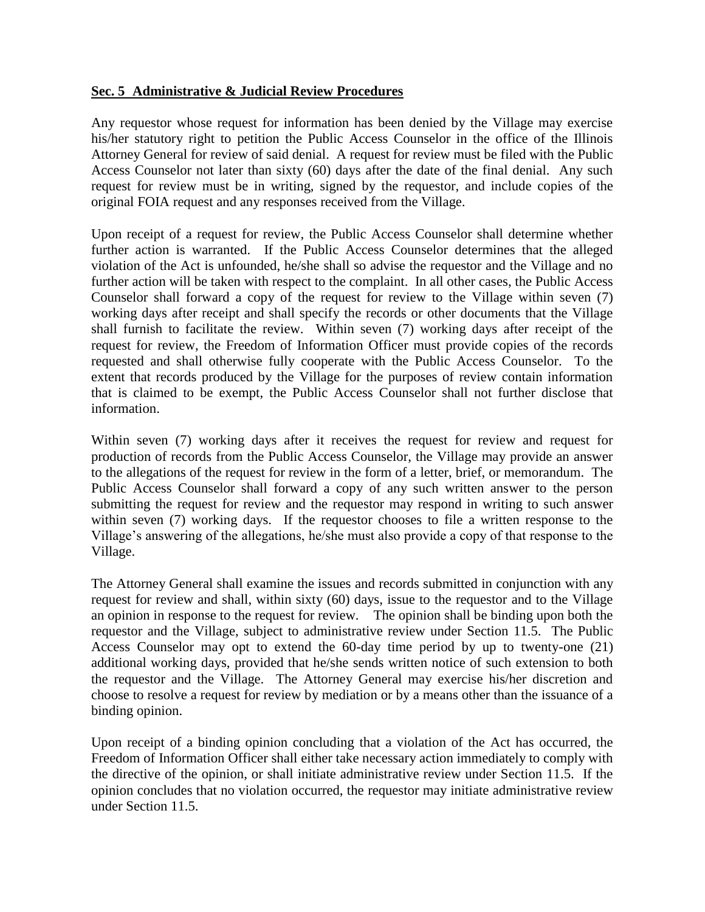#### **Sec. 5 Administrative & Judicial Review Procedures**

Any requestor whose request for information has been denied by the Village may exercise his/her statutory right to petition the Public Access Counselor in the office of the Illinois Attorney General for review of said denial. A request for review must be filed with the Public Access Counselor not later than sixty (60) days after the date of the final denial. Any such request for review must be in writing, signed by the requestor, and include copies of the original FOIA request and any responses received from the Village.

Upon receipt of a request for review, the Public Access Counselor shall determine whether further action is warranted. If the Public Access Counselor determines that the alleged violation of the Act is unfounded, he/she shall so advise the requestor and the Village and no further action will be taken with respect to the complaint. In all other cases, the Public Access Counselor shall forward a copy of the request for review to the Village within seven (7) working days after receipt and shall specify the records or other documents that the Village shall furnish to facilitate the review. Within seven (7) working days after receipt of the request for review, the Freedom of Information Officer must provide copies of the records requested and shall otherwise fully cooperate with the Public Access Counselor. To the extent that records produced by the Village for the purposes of review contain information that is claimed to be exempt, the Public Access Counselor shall not further disclose that information.

Within seven (7) working days after it receives the request for review and request for production of records from the Public Access Counselor, the Village may provide an answer to the allegations of the request for review in the form of a letter, brief, or memorandum. The Public Access Counselor shall forward a copy of any such written answer to the person submitting the request for review and the requestor may respond in writing to such answer within seven (7) working days. If the requestor chooses to file a written response to the Village's answering of the allegations, he/she must also provide a copy of that response to the Village.

The Attorney General shall examine the issues and records submitted in conjunction with any request for review and shall, within sixty (60) days, issue to the requestor and to the Village an opinion in response to the request for review. The opinion shall be binding upon both the requestor and the Village, subject to administrative review under Section 11.5. The Public Access Counselor may opt to extend the 60-day time period by up to twenty-one (21) additional working days, provided that he/she sends written notice of such extension to both the requestor and the Village. The Attorney General may exercise his/her discretion and choose to resolve a request for review by mediation or by a means other than the issuance of a binding opinion.

Upon receipt of a binding opinion concluding that a violation of the Act has occurred, the Freedom of Information Officer shall either take necessary action immediately to comply with the directive of the opinion, or shall initiate administrative review under Section 11.5. If the opinion concludes that no violation occurred, the requestor may initiate administrative review under Section 11.5.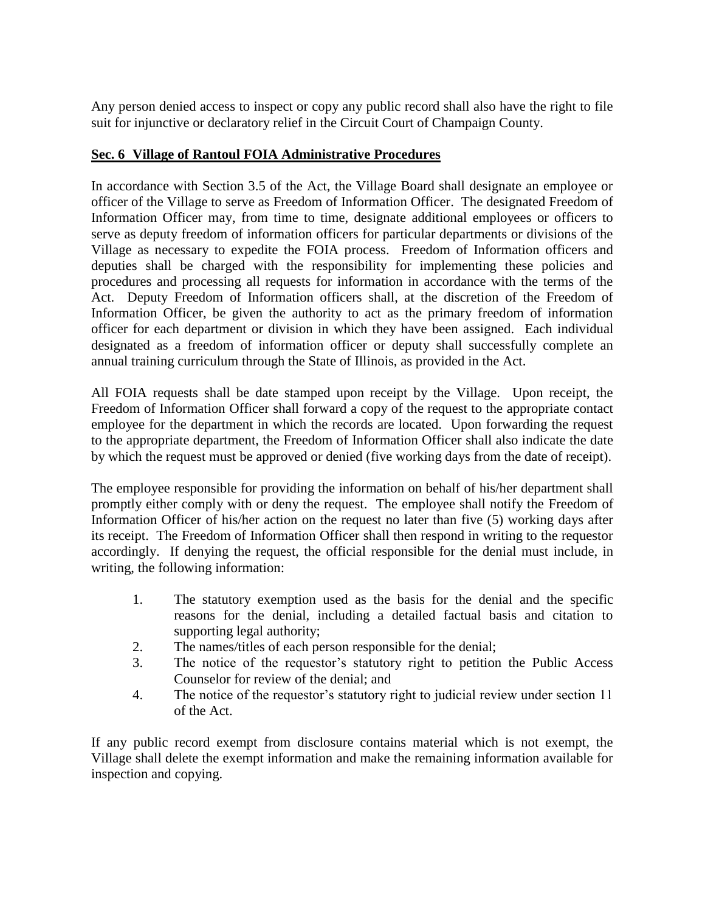Any person denied access to inspect or copy any public record shall also have the right to file suit for injunctive or declaratory relief in the Circuit Court of Champaign County.

## **Sec. 6 Village of Rantoul FOIA Administrative Procedures**

In accordance with Section 3.5 of the Act, the Village Board shall designate an employee or officer of the Village to serve as Freedom of Information Officer. The designated Freedom of Information Officer may, from time to time, designate additional employees or officers to serve as deputy freedom of information officers for particular departments or divisions of the Village as necessary to expedite the FOIA process. Freedom of Information officers and deputies shall be charged with the responsibility for implementing these policies and procedures and processing all requests for information in accordance with the terms of the Act. Deputy Freedom of Information officers shall, at the discretion of the Freedom of Information Officer, be given the authority to act as the primary freedom of information officer for each department or division in which they have been assigned. Each individual designated as a freedom of information officer or deputy shall successfully complete an annual training curriculum through the State of Illinois, as provided in the Act.

All FOIA requests shall be date stamped upon receipt by the Village. Upon receipt, the Freedom of Information Officer shall forward a copy of the request to the appropriate contact employee for the department in which the records are located. Upon forwarding the request to the appropriate department, the Freedom of Information Officer shall also indicate the date by which the request must be approved or denied (five working days from the date of receipt).

The employee responsible for providing the information on behalf of his/her department shall promptly either comply with or deny the request. The employee shall notify the Freedom of Information Officer of his/her action on the request no later than five (5) working days after its receipt. The Freedom of Information Officer shall then respond in writing to the requestor accordingly. If denying the request, the official responsible for the denial must include, in writing, the following information:

- 1. The statutory exemption used as the basis for the denial and the specific reasons for the denial, including a detailed factual basis and citation to supporting legal authority;
- 2. The names/titles of each person responsible for the denial;
- 3. The notice of the requestor's statutory right to petition the Public Access Counselor for review of the denial; and
- 4. The notice of the requestor's statutory right to judicial review under section 11 of the Act.

If any public record exempt from disclosure contains material which is not exempt, the Village shall delete the exempt information and make the remaining information available for inspection and copying.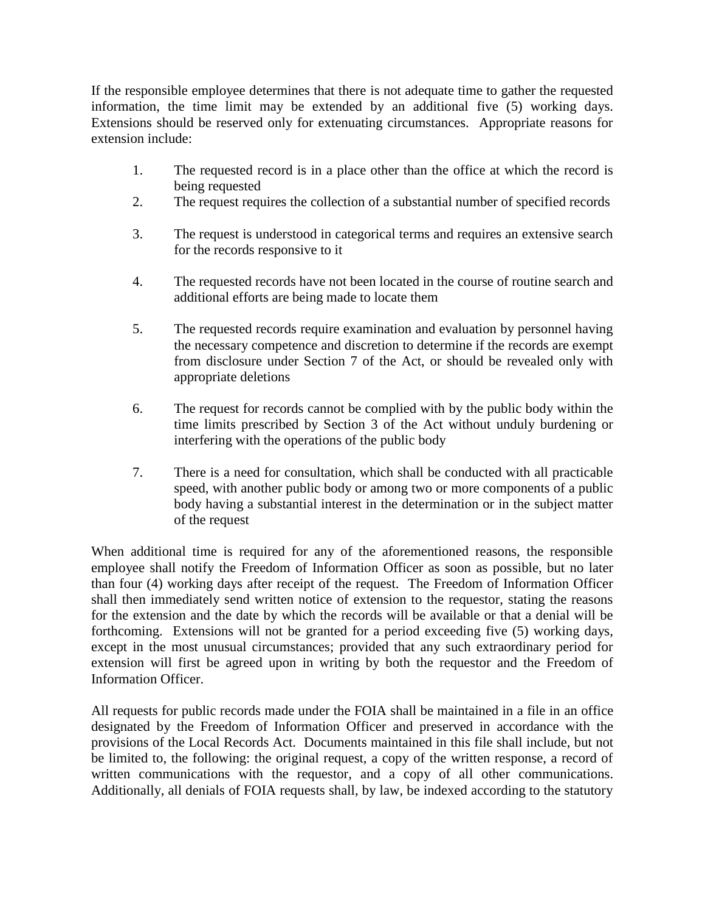If the responsible employee determines that there is not adequate time to gather the requested information, the time limit may be extended by an additional five (5) working days. Extensions should be reserved only for extenuating circumstances. Appropriate reasons for extension include:

- 1. The requested record is in a place other than the office at which the record is being requested
- 2. The request requires the collection of a substantial number of specified records
- 3. The request is understood in categorical terms and requires an extensive search for the records responsive to it
- 4. The requested records have not been located in the course of routine search and additional efforts are being made to locate them
- 5. The requested records require examination and evaluation by personnel having the necessary competence and discretion to determine if the records are exempt from disclosure under Section 7 of the Act, or should be revealed only with appropriate deletions
- 6. The request for records cannot be complied with by the public body within the time limits prescribed by Section 3 of the Act without unduly burdening or interfering with the operations of the public body
- 7. There is a need for consultation, which shall be conducted with all practicable speed, with another public body or among two or more components of a public body having a substantial interest in the determination or in the subject matter of the request

When additional time is required for any of the aforementioned reasons, the responsible employee shall notify the Freedom of Information Officer as soon as possible, but no later than four (4) working days after receipt of the request. The Freedom of Information Officer shall then immediately send written notice of extension to the requestor, stating the reasons for the extension and the date by which the records will be available or that a denial will be forthcoming. Extensions will not be granted for a period exceeding five (5) working days, except in the most unusual circumstances; provided that any such extraordinary period for extension will first be agreed upon in writing by both the requestor and the Freedom of Information Officer.

All requests for public records made under the FOIA shall be maintained in a file in an office designated by the Freedom of Information Officer and preserved in accordance with the provisions of the Local Records Act. Documents maintained in this file shall include, but not be limited to, the following: the original request, a copy of the written response, a record of written communications with the requestor, and a copy of all other communications. Additionally, all denials of FOIA requests shall, by law, be indexed according to the statutory